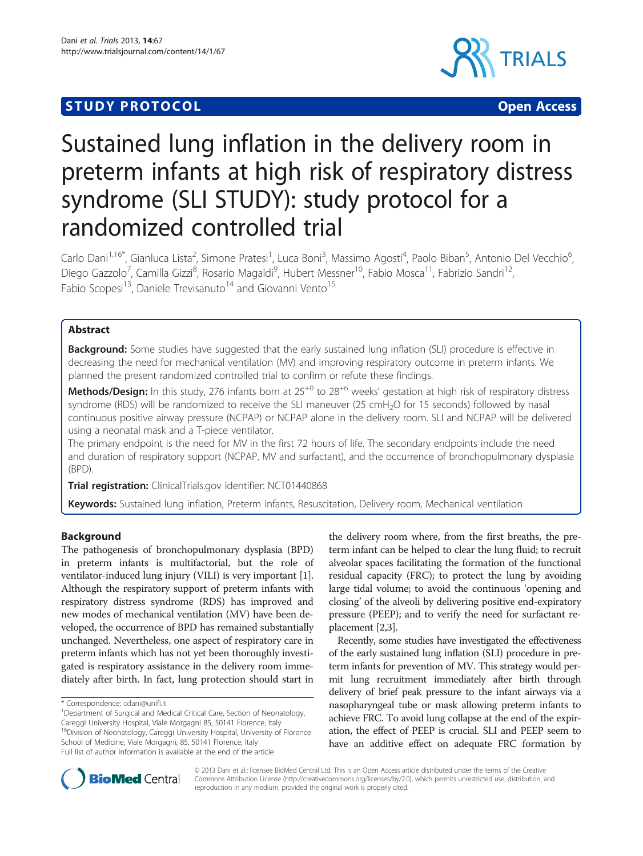# **STUDY PROTOCOL CONSUMING THE CONSUMING OPEN ACCESS**



# Sustained lung inflation in the delivery room in preterm infants at high risk of respiratory distress syndrome (SLI STUDY): study protocol for a randomized controlled trial

Carlo Dani<sup>1,16\*</sup>, Gianluca Lista<sup>2</sup>, Simone Pratesi<sup>1</sup>, Luca Boni<sup>3</sup>, Massimo Agosti<sup>4</sup>, Paolo Biban<sup>5</sup>, Antonio Del Vecchio<sup>6</sup> , Diego Gazzolo<sup>7</sup>, Camilla Gizzi<sup>8</sup>, Rosario Magaldi<sup>9</sup>, Hubert Messner<sup>10</sup>, Fabio Mosca<sup>11</sup>, Fabrizio Sandri<sup>12</sup>, Fabio Scopesi<sup>13</sup>, Daniele Trevisanuto<sup>14</sup> and Giovanni Vento<sup>15</sup>

# Abstract

Background: Some studies have suggested that the early sustained lung inflation (SLI) procedure is effective in decreasing the need for mechanical ventilation (MV) and improving respiratory outcome in preterm infants. We planned the present randomized controlled trial to confirm or refute these findings.

Methods/Design: In this study, 276 infants born at  $25^{+0}$  to  $28^{+6}$  weeks' gestation at high risk of respiratory distress syndrome (RDS) will be randomized to receive the SLI maneuver (25 cmH<sub>2</sub>O for 15 seconds) followed by nasal continuous positive airway pressure (NCPAP) or NCPAP alone in the delivery room. SLI and NCPAP will be delivered using a neonatal mask and a T-piece ventilator.

The primary endpoint is the need for MV in the first 72 hours of life. The secondary endpoints include the need and duration of respiratory support (NCPAP, MV and surfactant), and the occurrence of bronchopulmonary dysplasia (BPD).

Trial registration: ClinicalTrials.gov identifier: [NCT01440868](http://www.clinicaltrials.gov/NCT01440868)

Keywords: Sustained lung inflation, Preterm infants, Resuscitation, Delivery room, Mechanical ventilation

# **Background**

The pathogenesis of bronchopulmonary dysplasia (BPD) in preterm infants is multifactorial, but the role of ventilator-induced lung injury (VILI) is very important [[1](#page-4-0)]. Although the respiratory support of preterm infants with respiratory distress syndrome (RDS) has improved and new modes of mechanical ventilation (MV) have been developed, the occurrence of BPD has remained substantially unchanged. Nevertheless, one aspect of respiratory care in preterm infants which has not yet been thoroughly investigated is respiratory assistance in the delivery room immediately after birth. In fact, lung protection should start in

<sup>1</sup>Department of Surgical and Medical Critical Care, Section of Neonatology, Careggi University Hospital, Viale Morgagni 85, 50141 Florence, Italy 16Division of Neonatology, Careggi University Hospital, University of Florence School of Medicine, Viale Morgagni, 85, 50141 Florence, Italy Full list of author information is available at the end of the article

the delivery room where, from the first breaths, the preterm infant can be helped to clear the lung fluid; to recruit alveolar spaces facilitating the formation of the functional residual capacity (FRC); to protect the lung by avoiding large tidal volume; to avoid the continuous 'opening and closing' of the alveoli by delivering positive end-expiratory pressure (PEEP); and to verify the need for surfactant replacement [[2](#page-4-0),[3](#page-4-0)].

Recently, some studies have investigated the effectiveness of the early sustained lung inflation (SLI) procedure in preterm infants for prevention of MV. This strategy would permit lung recruitment immediately after birth through delivery of brief peak pressure to the infant airways via a nasopharyngeal tube or mask allowing preterm infants to achieve FRC. To avoid lung collapse at the end of the expiration, the effect of PEEP is crucial. SLI and PEEP seem to have an additive effect on adequate FRC formation by



© 2013 Dani et al.; licensee BioMed Central Ltd. This is an Open Access article distributed under the terms of the Creative Commons Attribution License [\(http://creativecommons.org/licenses/by/2.0\)](http://creativecommons.org/licenses/by/2.0), which permits unrestricted use, distribution, and reproduction in any medium, provided the original work is properly cited.

<sup>\*</sup> Correspondence: [cdani@unifi.it](mailto:cdani@unifi.it) <sup>1</sup>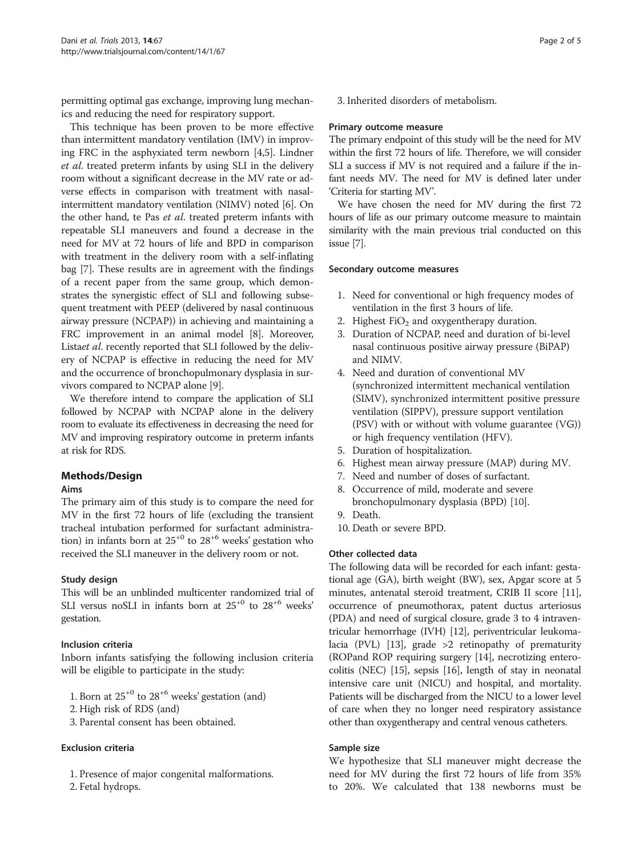permitting optimal gas exchange, improving lung mechanics and reducing the need for respiratory support.

This technique has been proven to be more effective than intermittent mandatory ventilation (IMV) in improving FRC in the asphyxiated term newborn [\[4,5\]](#page-4-0). Lindner et al. treated preterm infants by using SLI in the delivery room without a significant decrease in the MV rate or adverse effects in comparison with treatment with nasalintermittent mandatory ventilation (NIMV) noted [\[6](#page-4-0)]. On the other hand, te Pas et al. treated preterm infants with repeatable SLI maneuvers and found a decrease in the need for MV at 72 hours of life and BPD in comparison with treatment in the delivery room with a self-inflating bag [\[7](#page-4-0)]. These results are in agreement with the findings of a recent paper from the same group, which demonstrates the synergistic effect of SLI and following subsequent treatment with PEEP (delivered by nasal continuous airway pressure (NCPAP)) in achieving and maintaining a FRC improvement in an animal model [\[8](#page-4-0)]. Moreover, Listaet al. recently reported that SLI followed by the delivery of NCPAP is effective in reducing the need for MV and the occurrence of bronchopulmonary dysplasia in survivors compared to NCPAP alone [\[9](#page-4-0)].

We therefore intend to compare the application of SLI followed by NCPAP with NCPAP alone in the delivery room to evaluate its effectiveness in decreasing the need for MV and improving respiratory outcome in preterm infants at risk for RDS.

# Methods/Design

# Aims

The primary aim of this study is to compare the need for MV in the first 72 hours of life (excluding the transient tracheal intubation performed for surfactant administration) in infants born at  $25^{+0}$  to  $28^{+6}$  weeks' gestation who received the SLI maneuver in the delivery room or not.

# Study design

This will be an unblinded multicenter randomized trial of SLI versus noSLI in infants born at  $25^{+0}$  to  $28^{+6}$  weeks' gestation.

# Inclusion criteria

Inborn infants satisfying the following inclusion criteria will be eligible to participate in the study:

- 1. Born at  $25^{+0}$  to  $28^{+6}$  weeks' gestation (and)
- 2. High risk of RDS (and)
- 3. Parental consent has been obtained.

# Exclusion criteria

- 1. Presence of major congenital malformations.
- 2. Fetal hydrops.

3. Inherited disorders of metabolism.

# Primary outcome measure

The primary endpoint of this study will be the need for MV within the first 72 hours of life. Therefore, we will consider SLI a success if MV is not required and a failure if the infant needs MV. The need for MV is defined later under 'Criteria for starting MV'.

We have chosen the need for MV during the first 72 hours of life as our primary outcome measure to maintain similarity with the main previous trial conducted on this issue [\[7\]](#page-4-0).

### Secondary outcome measures

- 1. Need for conventional or high frequency modes of ventilation in the first 3 hours of life.
- 2. Highest  $FiO<sub>2</sub>$  and oxygentherapy duration.
- 3. Duration of NCPAP, need and duration of bi-level nasal continuous positive airway pressure (BiPAP) and NIMV.
- 4. Need and duration of conventional MV (synchronized intermittent mechanical ventilation (SIMV), synchronized intermittent positive pressure ventilation (SIPPV), pressure support ventilation (PSV) with or without with volume guarantee (VG)) or high frequency ventilation (HFV).
- 5. Duration of hospitalization.
- 6. Highest mean airway pressure (MAP) during MV.
- 7. Need and number of doses of surfactant.
- 8. Occurrence of mild, moderate and severe bronchopulmonary dysplasia (BPD) [[10](#page-4-0)].
- 9. Death.
- 10. Death or severe BPD.

# Other collected data

The following data will be recorded for each infant: gestational age (GA), birth weight (BW), sex, Apgar score at 5 minutes, antenatal steroid treatment, CRIB II score [[11](#page-4-0)], occurrence of pneumothorax, patent ductus arteriosus (PDA) and need of surgical closure, grade 3 to 4 intraventricular hemorrhage (IVH) [\[12\]](#page-4-0), periventricular leukomalacia (PVL) [\[13\]](#page-4-0), grade >2 retinopathy of prematurity (ROPand ROP requiring surgery [\[14\]](#page-4-0), necrotizing enterocolitis (NEC) [[15](#page-4-0)], sepsis [[16](#page-4-0)], length of stay in neonatal intensive care unit (NICU) and hospital, and mortality. Patients will be discharged from the NICU to a lower level of care when they no longer need respiratory assistance other than oxygentherapy and central venous catheters.

# Sample size

We hypothesize that SLI maneuver might decrease the need for MV during the first 72 hours of life from 35% to 20%. We calculated that 138 newborns must be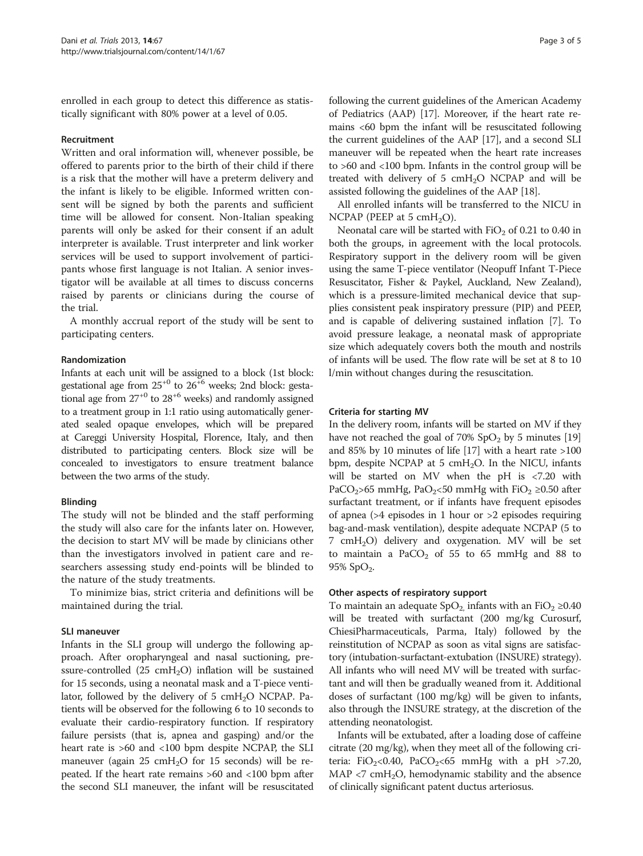enrolled in each group to detect this difference as statistically significant with 80% power at a level of 0.05.

#### Recruitment

Written and oral information will, whenever possible, be offered to parents prior to the birth of their child if there is a risk that the mother will have a preterm delivery and the infant is likely to be eligible. Informed written consent will be signed by both the parents and sufficient time will be allowed for consent. Non-Italian speaking parents will only be asked for their consent if an adult interpreter is available. Trust interpreter and link worker services will be used to support involvement of participants whose first language is not Italian. A senior investigator will be available at all times to discuss concerns raised by parents or clinicians during the course of the trial.

A monthly accrual report of the study will be sent to participating centers.

#### Randomization

Infants at each unit will be assigned to a block (1st block: gestational age from  $25^{+0}$  to  $26^{+6}$  weeks; 2nd block: gestational age from  $27^{+0}$  to  $28^{+6}$  weeks) and randomly assigned to a treatment group in 1:1 ratio using automatically generated sealed opaque envelopes, which will be prepared at Careggi University Hospital, Florence, Italy, and then distributed to participating centers. Block size will be concealed to investigators to ensure treatment balance between the two arms of the study.

#### Blinding

The study will not be blinded and the staff performing the study will also care for the infants later on. However, the decision to start MV will be made by clinicians other than the investigators involved in patient care and researchers assessing study end-points will be blinded to the nature of the study treatments.

To minimize bias, strict criteria and definitions will be maintained during the trial.

#### SLI maneuver

Infants in the SLI group will undergo the following approach. After oropharyngeal and nasal suctioning, pressure-controlled (25 cm $H_2O$ ) inflation will be sustained for 15 seconds, using a neonatal mask and a T-piece ventilator, followed by the delivery of 5  $cmH<sub>2</sub>O$  NCPAP. Patients will be observed for the following 6 to 10 seconds to evaluate their cardio-respiratory function. If respiratory failure persists (that is, apnea and gasping) and/or the heart rate is >60 and <100 bpm despite NCPAP, the SLI maneuver (again 25 cm $H_2O$  for 15 seconds) will be repeated. If the heart rate remains >60 and <100 bpm after the second SLI maneuver, the infant will be resuscitated following the current guidelines of the American Academy of Pediatrics (AAP) [\[17](#page-4-0)]. Moreover, if the heart rate remains <60 bpm the infant will be resuscitated following the current guidelines of the AAP [[17](#page-4-0)], and a second SLI maneuver will be repeated when the heart rate increases to >60 and <100 bpm. Infants in the control group will be treated with delivery of 5  $cmH<sub>2</sub>O$  NCPAP and will be assisted following the guidelines of the AAP [[18](#page-4-0)].

All enrolled infants will be transferred to the NICU in NCPAP (PEEP at 5 cmH<sub>2</sub>O).

Neonatal care will be started with  $FiO<sub>2</sub>$  of 0.21 to 0.40 in both the groups, in agreement with the local protocols. Respiratory support in the delivery room will be given using the same T-piece ventilator (Neopuff Infant T-Piece Resuscitator, Fisher & Paykel, Auckland, New Zealand), which is a pressure-limited mechanical device that supplies consistent peak inspiratory pressure (PIP) and PEEP, and is capable of delivering sustained inflation [[7\]](#page-4-0). To avoid pressure leakage, a neonatal mask of appropriate size which adequately covers both the mouth and nostrils of infants will be used. The flow rate will be set at 8 to 10 l/min without changes during the resuscitation.

#### Criteria for starting MV

In the delivery room, infants will be started on MV if they have not reached the goal of  $70\%$  SpO<sub>2</sub> by 5 minutes [[19](#page-4-0)] and 85% by 10 minutes of life [\[17](#page-4-0)] with a heart rate >100 bpm, despite NCPAP at 5 cmH<sub>2</sub>O. In the NICU, infants will be started on MV when the pH is <7.20 with PaCO<sub>2</sub>>65 mmHg, PaO<sub>2</sub><50 mmHg with FiO<sub>2</sub> ≥0.50 after surfactant treatment, or if infants have frequent episodes of apnea (>4 episodes in 1 hour or >2 episodes requiring bag-and-mask ventilation), despite adequate NCPAP (5 to  $7 \text{ cmH}_2\text{O}$  delivery and oxygenation. MV will be set to maintain a  $PaCO<sub>2</sub>$  of 55 to 65 mmHg and 88 to 95%  $SpO<sub>2</sub>$ .

### Other aspects of respiratory support

To maintain an adequate  $SpO<sub>2</sub>$  infants with an FiO<sub>2</sub> ≥0.40 will be treated with surfactant (200 mg/kg Curosurf, ChiesiPharmaceuticals, Parma, Italy) followed by the reinstitution of NCPAP as soon as vital signs are satisfactory (intubation-surfactant-extubation (INSURE) strategy). All infants who will need MV will be treated with surfactant and will then be gradually weaned from it. Additional doses of surfactant (100 mg/kg) will be given to infants, also through the INSURE strategy, at the discretion of the attending neonatologist.

Infants will be extubated, after a loading dose of caffeine citrate (20 mg/kg), when they meet all of the following criteria: FiO<sub>2</sub><0.40, PaCO<sub>2</sub><65 mmHg with a pH >7.20, MAP  $\langle$ 7 cmH<sub>2</sub>O, hemodynamic stability and the absence of clinically significant patent ductus arteriosus.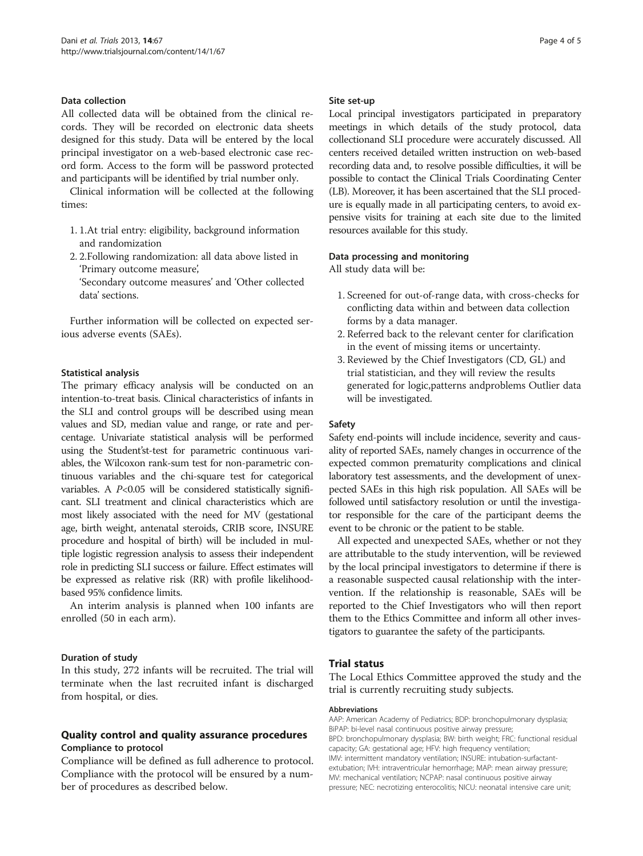### Data collection

All collected data will be obtained from the clinical records. They will be recorded on electronic data sheets designed for this study. Data will be entered by the local principal investigator on a web-based electronic case record form. Access to the form will be password protected and participants will be identified by trial number only.

Clinical information will be collected at the following times:

- 1. 1.At trial entry: eligibility, background information and randomization
- 2. 2.Following randomization: all data above listed in 'Primary outcome measure',
	- 'Secondary outcome measures' and 'Other collected data' sections.

Further information will be collected on expected serious adverse events (SAEs).

### Statistical analysis

The primary efficacy analysis will be conducted on an intention-to-treat basis. Clinical characteristics of infants in the SLI and control groups will be described using mean values and SD, median value and range, or rate and percentage. Univariate statistical analysis will be performed using the Student'st-test for parametric continuous variables, the Wilcoxon rank-sum test for non-parametric continuous variables and the chi-square test for categorical variables. A  $P<0.05$  will be considered statistically significant. SLI treatment and clinical characteristics which are most likely associated with the need for MV (gestational age, birth weight, antenatal steroids, CRIB score, INSURE procedure and hospital of birth) will be included in multiple logistic regression analysis to assess their independent role in predicting SLI success or failure. Effect estimates will be expressed as relative risk (RR) with profile likelihoodbased 95% confidence limits.

An interim analysis is planned when 100 infants are enrolled (50 in each arm).

#### Duration of study

In this study, 272 infants will be recruited. The trial will terminate when the last recruited infant is discharged from hospital, or dies.

# Quality control and quality assurance procedures Compliance to protocol

Compliance will be defined as full adherence to protocol. Compliance with the protocol will be ensured by a number of procedures as described below.

#### Site set-up

Local principal investigators participated in preparatory meetings in which details of the study protocol, data collectionand SLI procedure were accurately discussed. All centers received detailed written instruction on web-based recording data and, to resolve possible difficulties, it will be possible to contact the Clinical Trials Coordinating Center (LB). Moreover, it has been ascertained that the SLI procedure is equally made in all participating centers, to avoid expensive visits for training at each site due to the limited resources available for this study.

### Data processing and monitoring

All study data will be:

- 1. Screened for out-of-range data, with cross-checks for conflicting data within and between data collection forms by a data manager.
- 2. Referred back to the relevant center for clarification in the event of missing items or uncertainty.
- 3. Reviewed by the Chief Investigators (CD, GL) and trial statistician, and they will review the results generated for logic,patterns andproblems Outlier data will be investigated.

#### Safety

Safety end-points will include incidence, severity and causality of reported SAEs, namely changes in occurrence of the expected common prematurity complications and clinical laboratory test assessments, and the development of unexpected SAEs in this high risk population. All SAEs will be followed until satisfactory resolution or until the investigator responsible for the care of the participant deems the event to be chronic or the patient to be stable.

All expected and unexpected SAEs, whether or not they are attributable to the study intervention, will be reviewed by the local principal investigators to determine if there is a reasonable suspected causal relationship with the intervention. If the relationship is reasonable, SAEs will be reported to the Chief Investigators who will then report them to the Ethics Committee and inform all other investigators to guarantee the safety of the participants.

# Trial status

The Local Ethics Committee approved the study and the trial is currently recruiting study subjects.

#### Abbreviations

AAP: American Academy of Pediatrics; BDP: bronchopulmonary dysplasia; BiPAP: bi-level nasal continuous positive airway pressure; BPD: bronchopulmonary dysplasia; BW: birth weight; FRC: functional residual capacity; GA: gestational age; HFV: high frequency ventilation; IMV: intermittent mandatory ventilation; INSURE: intubation-surfactantextubation; IVH: intraventricular hemorrhage; MAP: mean airway pressure; MV: mechanical ventilation; NCPAP: nasal continuous positive airway pressure; NEC: necrotizing enterocolitis; NICU: neonatal intensive care unit;